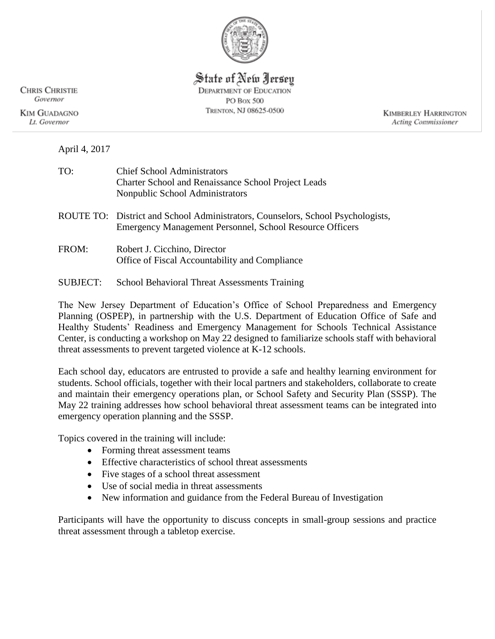

State of New Jersey **DEPARTMENT OF EDUCATION** PO Box 500 TRENTON, NJ 08625-0500

**KIMBERLEY HARRINGTON Acting Commissioner** 

**CHRIS CHRISTIE** Governor **KIM GUADAGNO** 

Lt. Governor

April 4, 2017

| <b>Chief School Administrators</b>                         |
|------------------------------------------------------------|
| <b>Charter School and Renaissance School Project Leads</b> |
| Nonpublic School Administrators                            |
|                                                            |

ROUTE TO: District and School Administrators, Counselors, School Psychologists, Emergency Management Personnel, School Resource Officers

- FROM: Robert J. Cicchino, Director Office of Fiscal Accountability and Compliance
- SUBJECT: School Behavioral Threat Assessments Training

The New Jersey Department of Education's Office of School Preparedness and Emergency Planning (OSPEP), in partnership with the U.S. Department of Education Office of Safe and Healthy Students' Readiness and Emergency Management for Schools Technical Assistance Center, is conducting a workshop on May 22 designed to familiarize schools staff with behavioral threat assessments to prevent targeted violence at K-12 schools.

Each school day, educators are entrusted to provide a safe and healthy learning environment for students. School officials, together with their local partners and stakeholders, collaborate to create and maintain their emergency operations plan, or School Safety and Security Plan (SSSP). The May 22 training addresses how school behavioral threat assessment teams can be integrated into emergency operation planning and the SSSP.

Topics covered in the training will include:

- Forming threat assessment teams
- Effective characteristics of school threat assessments
- Five stages of a school threat assessment
- Use of social media in threat assessments
- New information and guidance from the Federal Bureau of Investigation

Participants will have the opportunity to discuss concepts in small-group sessions and practice threat assessment through a tabletop exercise.